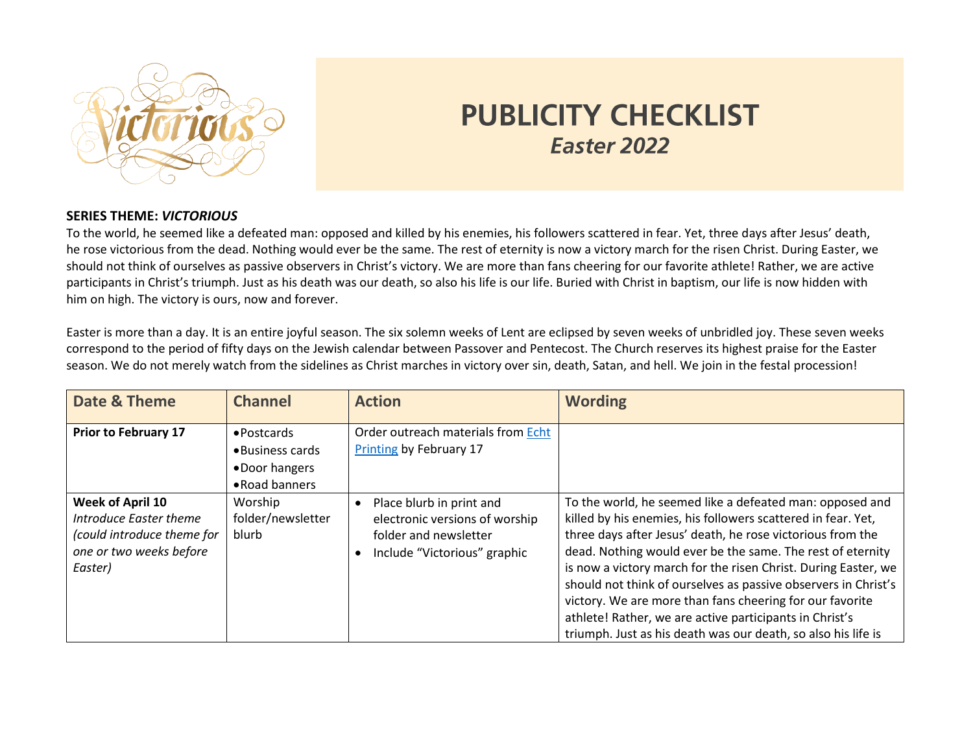

## **PUBLICITY CHECKLIST** Easter 2022

## **SERIES THEME:** *VICTORIOUS*

To the world, he seemed like a defeated man: opposed and killed by his enemies, his followers scattered in fear. Yet, three days after Jesus' death, he rose victorious from the dead. Nothing would ever be the same. The rest of eternity is now a victory march for the risen Christ. During Easter, we should not think of ourselves as passive observers in Christ's victory. We are more than fans cheering for our favorite athlete! Rather, we are active participants in Christ's triumph. Just as his death was our death, so also his life is our life. Buried with Christ in baptism, our life is now hidden with him on high. The victory is ours, now and forever.

Easter is more than a day. It is an entire joyful season. The six solemn weeks of Lent are eclipsed by seven weeks of unbridled joy. These seven weeks correspond to the period of fifty days on the Jewish calendar between Passover and Pentecost. The Church reserves its highest praise for the Easter season. We do not merely watch from the sidelines as Christ marches in victory over sin, death, Satan, and hell. We join in the festal procession!

| Date & Theme                                                                                                          | <b>Channel</b>                                                     | <b>Action</b>                                                                                                       | <b>Wording</b>                                                                                                                                                                                                                                                                                                                                                                                                                                                                                                                                                                   |
|-----------------------------------------------------------------------------------------------------------------------|--------------------------------------------------------------------|---------------------------------------------------------------------------------------------------------------------|----------------------------------------------------------------------------------------------------------------------------------------------------------------------------------------------------------------------------------------------------------------------------------------------------------------------------------------------------------------------------------------------------------------------------------------------------------------------------------------------------------------------------------------------------------------------------------|
| <b>Prior to February 17</b>                                                                                           | • Postcards<br>• Business cards<br>•Door hangers<br>• Road banners | Order outreach materials from Echt<br><b>Printing by February 17</b>                                                |                                                                                                                                                                                                                                                                                                                                                                                                                                                                                                                                                                                  |
| <b>Week of April 10</b><br>Introduce Easter theme<br>(could introduce theme for<br>one or two weeks before<br>Easter) | Worship<br>folder/newsletter<br>blurb                              | Place blurb in print and<br>electronic versions of worship<br>folder and newsletter<br>Include "Victorious" graphic | To the world, he seemed like a defeated man: opposed and<br>killed by his enemies, his followers scattered in fear. Yet,<br>three days after Jesus' death, he rose victorious from the<br>dead. Nothing would ever be the same. The rest of eternity<br>is now a victory march for the risen Christ. During Easter, we<br>should not think of ourselves as passive observers in Christ's<br>victory. We are more than fans cheering for our favorite<br>athlete! Rather, we are active participants in Christ's<br>triumph. Just as his death was our death, so also his life is |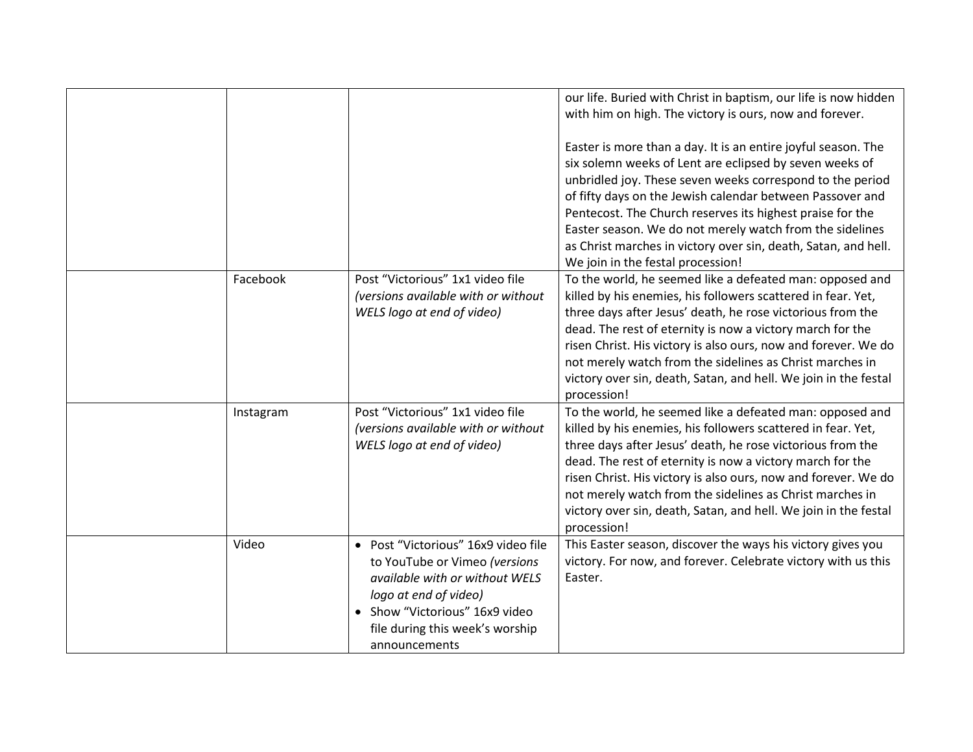|           |                                                                                                                                                                                                                       | our life. Buried with Christ in baptism, our life is now hidden<br>with him on high. The victory is ours, now and forever.<br>Easter is more than a day. It is an entire joyful season. The<br>six solemn weeks of Lent are eclipsed by seven weeks of<br>unbridled joy. These seven weeks correspond to the period<br>of fifty days on the Jewish calendar between Passover and<br>Pentecost. The Church reserves its highest praise for the<br>Easter season. We do not merely watch from the sidelines<br>as Christ marches in victory over sin, death, Satan, and hell.<br>We join in the festal procession! |
|-----------|-----------------------------------------------------------------------------------------------------------------------------------------------------------------------------------------------------------------------|------------------------------------------------------------------------------------------------------------------------------------------------------------------------------------------------------------------------------------------------------------------------------------------------------------------------------------------------------------------------------------------------------------------------------------------------------------------------------------------------------------------------------------------------------------------------------------------------------------------|
| Facebook  | Post "Victorious" 1x1 video file<br>(versions available with or without<br>WELS logo at end of video)                                                                                                                 | To the world, he seemed like a defeated man: opposed and<br>killed by his enemies, his followers scattered in fear. Yet,<br>three days after Jesus' death, he rose victorious from the<br>dead. The rest of eternity is now a victory march for the<br>risen Christ. His victory is also ours, now and forever. We do<br>not merely watch from the sidelines as Christ marches in<br>victory over sin, death, Satan, and hell. We join in the festal<br>procession!                                                                                                                                              |
| Instagram | Post "Victorious" 1x1 video file<br>(versions available with or without<br>WELS logo at end of video)                                                                                                                 | To the world, he seemed like a defeated man: opposed and<br>killed by his enemies, his followers scattered in fear. Yet,<br>three days after Jesus' death, he rose victorious from the<br>dead. The rest of eternity is now a victory march for the<br>risen Christ. His victory is also ours, now and forever. We do<br>not merely watch from the sidelines as Christ marches in<br>victory over sin, death, Satan, and hell. We join in the festal<br>procession!                                                                                                                                              |
| Video     | • Post "Victorious" 16x9 video file<br>to YouTube or Vimeo (versions<br>available with or without WELS<br>logo at end of video)<br>• Show "Victorious" 16x9 video<br>file during this week's worship<br>announcements | This Easter season, discover the ways his victory gives you<br>victory. For now, and forever. Celebrate victory with us this<br>Easter.                                                                                                                                                                                                                                                                                                                                                                                                                                                                          |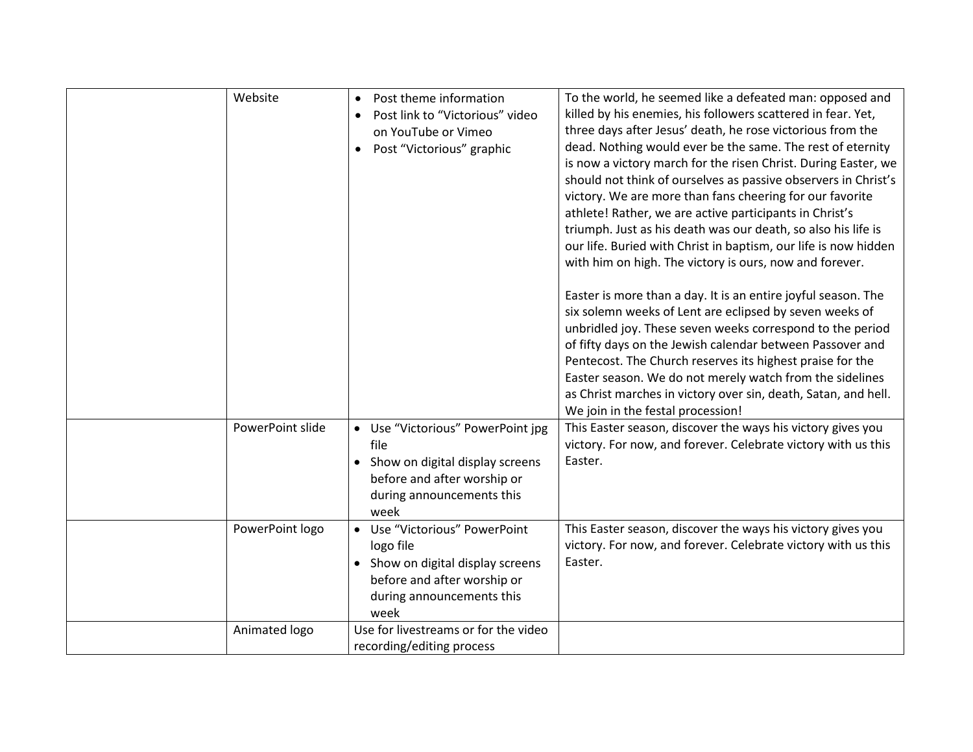| Website          | Post theme information<br>$\bullet$<br>Post link to "Victorious" video<br>on YouTube or Vimeo<br>Post "Victorious" graphic                          | To the world, he seemed like a defeated man: opposed and<br>killed by his enemies, his followers scattered in fear. Yet,<br>three days after Jesus' death, he rose victorious from the<br>dead. Nothing would ever be the same. The rest of eternity<br>is now a victory march for the risen Christ. During Easter, we<br>should not think of ourselves as passive observers in Christ's<br>victory. We are more than fans cheering for our favorite<br>athlete! Rather, we are active participants in Christ's<br>triumph. Just as his death was our death, so also his life is<br>our life. Buried with Christ in baptism, our life is now hidden<br>with him on high. The victory is ours, now and forever.<br>Easter is more than a day. It is an entire joyful season. The<br>six solemn weeks of Lent are eclipsed by seven weeks of<br>unbridled joy. These seven weeks correspond to the period<br>of fifty days on the Jewish calendar between Passover and<br>Pentecost. The Church reserves its highest praise for the<br>Easter season. We do not merely watch from the sidelines<br>as Christ marches in victory over sin, death, Satan, and hell.<br>We join in the festal procession! |
|------------------|-----------------------------------------------------------------------------------------------------------------------------------------------------|------------------------------------------------------------------------------------------------------------------------------------------------------------------------------------------------------------------------------------------------------------------------------------------------------------------------------------------------------------------------------------------------------------------------------------------------------------------------------------------------------------------------------------------------------------------------------------------------------------------------------------------------------------------------------------------------------------------------------------------------------------------------------------------------------------------------------------------------------------------------------------------------------------------------------------------------------------------------------------------------------------------------------------------------------------------------------------------------------------------------------------------------------------------------------------------------------|
| PowerPoint slide | • Use "Victorious" PowerPoint jpg<br>file<br>• Show on digital display screens<br>before and after worship or<br>during announcements this<br>week  | This Easter season, discover the ways his victory gives you<br>victory. For now, and forever. Celebrate victory with us this<br>Easter.                                                                                                                                                                                                                                                                                                                                                                                                                                                                                                                                                                                                                                                                                                                                                                                                                                                                                                                                                                                                                                                              |
| PowerPoint logo  | • Use "Victorious" PowerPoint<br>logo file<br>• Show on digital display screens<br>before and after worship or<br>during announcements this<br>week | This Easter season, discover the ways his victory gives you<br>victory. For now, and forever. Celebrate victory with us this<br>Easter.                                                                                                                                                                                                                                                                                                                                                                                                                                                                                                                                                                                                                                                                                                                                                                                                                                                                                                                                                                                                                                                              |
| Animated logo    | Use for livestreams or for the video<br>recording/editing process                                                                                   |                                                                                                                                                                                                                                                                                                                                                                                                                                                                                                                                                                                                                                                                                                                                                                                                                                                                                                                                                                                                                                                                                                                                                                                                      |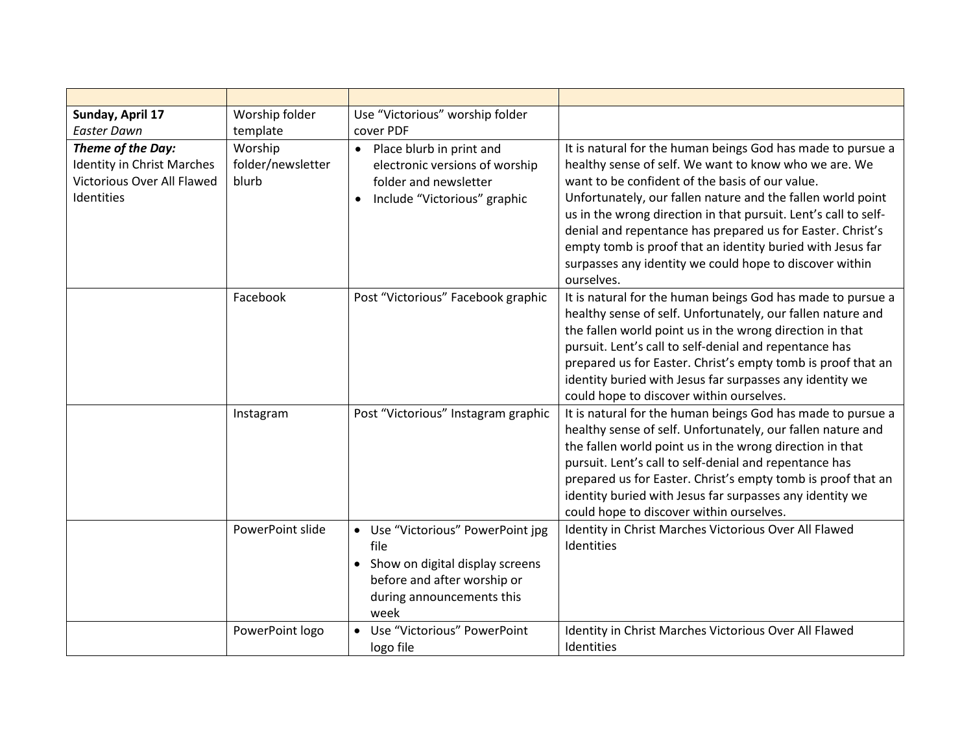| Sunday, April 17                                                                            | Worship folder                        | Use "Victorious" worship folder                                                                                                                    |                                                                                                                                                                                                                                                                                                                                                                                                                                                                                                  |
|---------------------------------------------------------------------------------------------|---------------------------------------|----------------------------------------------------------------------------------------------------------------------------------------------------|--------------------------------------------------------------------------------------------------------------------------------------------------------------------------------------------------------------------------------------------------------------------------------------------------------------------------------------------------------------------------------------------------------------------------------------------------------------------------------------------------|
| <b>Easter Dawn</b>                                                                          | template                              | cover PDF                                                                                                                                          |                                                                                                                                                                                                                                                                                                                                                                                                                                                                                                  |
| Theme of the Day:<br>Identity in Christ Marches<br>Victorious Over All Flawed<br>Identities | Worship<br>folder/newsletter<br>blurb | • Place blurb in print and<br>electronic versions of worship<br>folder and newsletter<br>• Include "Victorious" graphic                            | It is natural for the human beings God has made to pursue a<br>healthy sense of self. We want to know who we are. We<br>want to be confident of the basis of our value.<br>Unfortunately, our fallen nature and the fallen world point<br>us in the wrong direction in that pursuit. Lent's call to self-<br>denial and repentance has prepared us for Easter. Christ's<br>empty tomb is proof that an identity buried with Jesus far<br>surpasses any identity we could hope to discover within |
|                                                                                             | Facebook                              | Post "Victorious" Facebook graphic                                                                                                                 | ourselves.<br>It is natural for the human beings God has made to pursue a<br>healthy sense of self. Unfortunately, our fallen nature and<br>the fallen world point us in the wrong direction in that<br>pursuit. Lent's call to self-denial and repentance has<br>prepared us for Easter. Christ's empty tomb is proof that an<br>identity buried with Jesus far surpasses any identity we<br>could hope to discover within ourselves.                                                           |
|                                                                                             | Instagram                             | Post "Victorious" Instagram graphic                                                                                                                | It is natural for the human beings God has made to pursue a<br>healthy sense of self. Unfortunately, our fallen nature and<br>the fallen world point us in the wrong direction in that<br>pursuit. Lent's call to self-denial and repentance has<br>prepared us for Easter. Christ's empty tomb is proof that an<br>identity buried with Jesus far surpasses any identity we<br>could hope to discover within ourselves.                                                                         |
|                                                                                             | PowerPoint slide                      | • Use "Victorious" PowerPoint jpg<br>file<br>• Show on digital display screens<br>before and after worship or<br>during announcements this<br>week | Identity in Christ Marches Victorious Over All Flawed<br>Identities                                                                                                                                                                                                                                                                                                                                                                                                                              |
|                                                                                             | PowerPoint logo                       | • Use "Victorious" PowerPoint<br>logo file                                                                                                         | Identity in Christ Marches Victorious Over All Flawed<br>Identities                                                                                                                                                                                                                                                                                                                                                                                                                              |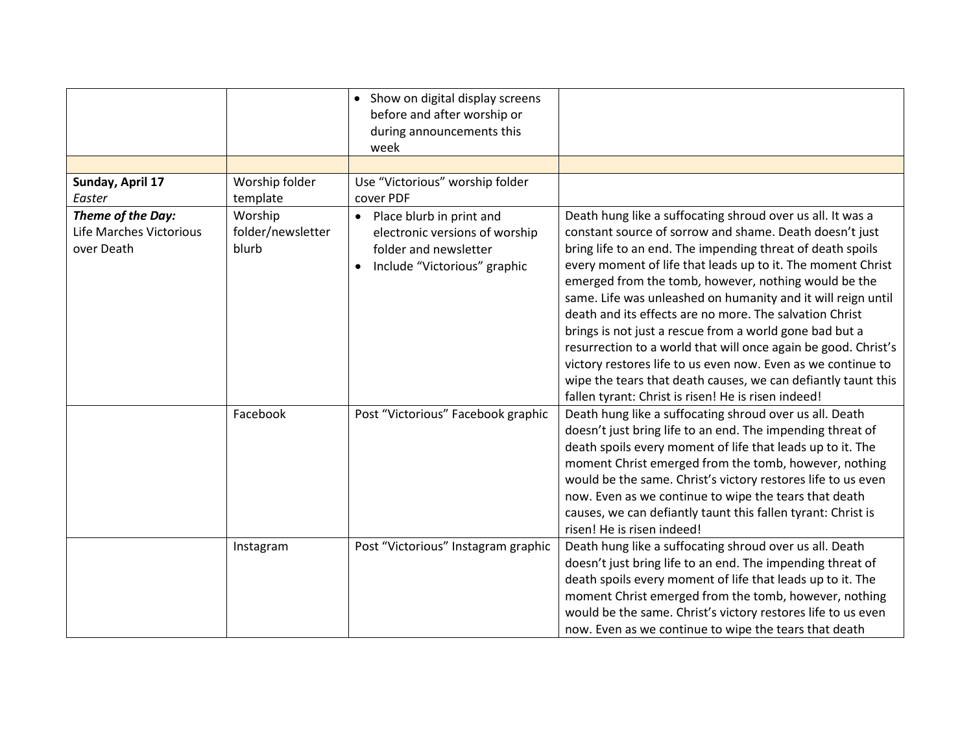|                                                            |                                       | • Show on digital display screens<br>before and after worship or<br>during announcements this<br>week                   |                                                                                                                                                                                                                                                                                                                                                                                                                                                                                                                                                                                                                                                                                                                                                            |
|------------------------------------------------------------|---------------------------------------|-------------------------------------------------------------------------------------------------------------------------|------------------------------------------------------------------------------------------------------------------------------------------------------------------------------------------------------------------------------------------------------------------------------------------------------------------------------------------------------------------------------------------------------------------------------------------------------------------------------------------------------------------------------------------------------------------------------------------------------------------------------------------------------------------------------------------------------------------------------------------------------------|
|                                                            |                                       |                                                                                                                         |                                                                                                                                                                                                                                                                                                                                                                                                                                                                                                                                                                                                                                                                                                                                                            |
| Sunday, April 17<br>Easter                                 | Worship folder<br>template            | Use "Victorious" worship folder<br>cover PDF                                                                            |                                                                                                                                                                                                                                                                                                                                                                                                                                                                                                                                                                                                                                                                                                                                                            |
| Theme of the Day:<br>Life Marches Victorious<br>over Death | Worship<br>folder/newsletter<br>blurb | • Place blurb in print and<br>electronic versions of worship<br>folder and newsletter<br>• Include "Victorious" graphic | Death hung like a suffocating shroud over us all. It was a<br>constant source of sorrow and shame. Death doesn't just<br>bring life to an end. The impending threat of death spoils<br>every moment of life that leads up to it. The moment Christ<br>emerged from the tomb, however, nothing would be the<br>same. Life was unleashed on humanity and it will reign until<br>death and its effects are no more. The salvation Christ<br>brings is not just a rescue from a world gone bad but a<br>resurrection to a world that will once again be good. Christ's<br>victory restores life to us even now. Even as we continue to<br>wipe the tears that death causes, we can defiantly taunt this<br>fallen tyrant: Christ is risen! He is risen indeed! |
|                                                            | Facebook                              | Post "Victorious" Facebook graphic                                                                                      | Death hung like a suffocating shroud over us all. Death<br>doesn't just bring life to an end. The impending threat of<br>death spoils every moment of life that leads up to it. The<br>moment Christ emerged from the tomb, however, nothing<br>would be the same. Christ's victory restores life to us even<br>now. Even as we continue to wipe the tears that death<br>causes, we can defiantly taunt this fallen tyrant: Christ is<br>risen! He is risen indeed!                                                                                                                                                                                                                                                                                        |
|                                                            | Instagram                             | Post "Victorious" Instagram graphic                                                                                     | Death hung like a suffocating shroud over us all. Death<br>doesn't just bring life to an end. The impending threat of<br>death spoils every moment of life that leads up to it. The<br>moment Christ emerged from the tomb, however, nothing<br>would be the same. Christ's victory restores life to us even<br>now. Even as we continue to wipe the tears that death                                                                                                                                                                                                                                                                                                                                                                                      |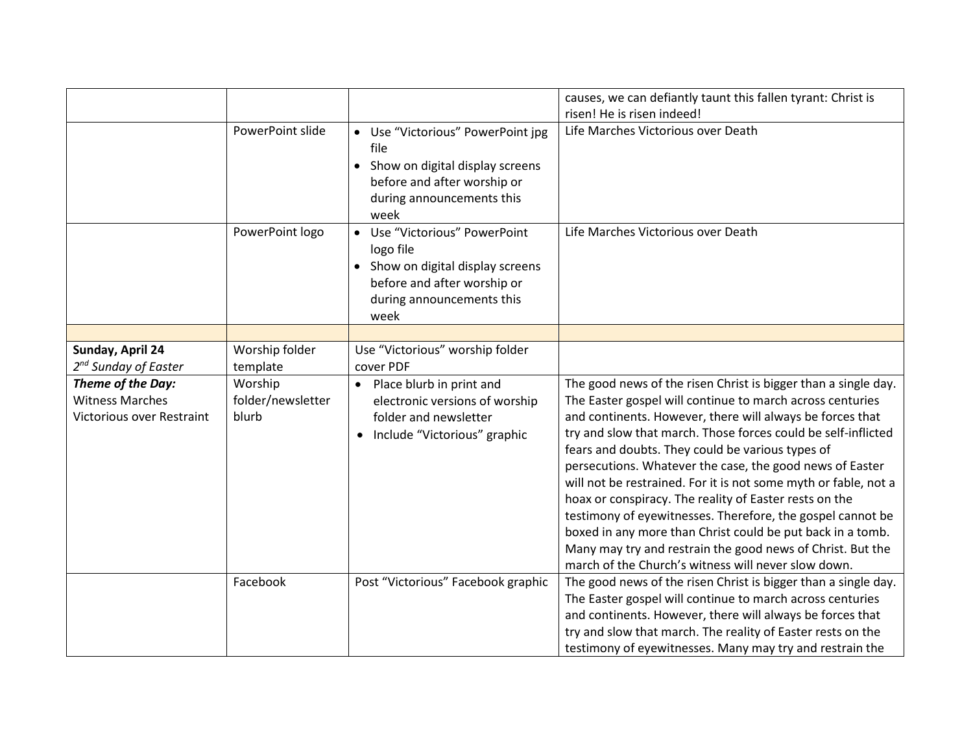|                                             |                            |                                                                                                                                                    | causes, we can defiantly taunt this fallen tyrant: Christ is                                                                                                                                                                                                                                                                                                                                                                                                                                                                                                |
|---------------------------------------------|----------------------------|----------------------------------------------------------------------------------------------------------------------------------------------------|-------------------------------------------------------------------------------------------------------------------------------------------------------------------------------------------------------------------------------------------------------------------------------------------------------------------------------------------------------------------------------------------------------------------------------------------------------------------------------------------------------------------------------------------------------------|
|                                             |                            |                                                                                                                                                    | risen! He is risen indeed!                                                                                                                                                                                                                                                                                                                                                                                                                                                                                                                                  |
|                                             | PowerPoint slide           | • Use "Victorious" PowerPoint jpg<br>file<br>• Show on digital display screens<br>before and after worship or<br>during announcements this<br>week | Life Marches Victorious over Death                                                                                                                                                                                                                                                                                                                                                                                                                                                                                                                          |
|                                             | PowerPoint logo            | Use "Victorious" PowerPoint<br>logo file<br>• Show on digital display screens<br>before and after worship or<br>during announcements this<br>week  | Life Marches Victorious over Death                                                                                                                                                                                                                                                                                                                                                                                                                                                                                                                          |
|                                             |                            |                                                                                                                                                    |                                                                                                                                                                                                                                                                                                                                                                                                                                                                                                                                                             |
| Sunday, April 24                            | Worship folder             | Use "Victorious" worship folder<br>cover PDF                                                                                                       |                                                                                                                                                                                                                                                                                                                                                                                                                                                                                                                                                             |
| 2 <sup>nd</sup> Sunday of Easter            | template                   |                                                                                                                                                    |                                                                                                                                                                                                                                                                                                                                                                                                                                                                                                                                                             |
| Theme of the Day:<br><b>Witness Marches</b> | Worship                    | • Place blurb in print and                                                                                                                         | The good news of the risen Christ is bigger than a single day.                                                                                                                                                                                                                                                                                                                                                                                                                                                                                              |
| <b>Victorious over Restraint</b>            | folder/newsletter<br>blurb | electronic versions of worship<br>folder and newsletter                                                                                            | The Easter gospel will continue to march across centuries<br>and continents. However, there will always be forces that                                                                                                                                                                                                                                                                                                                                                                                                                                      |
|                                             |                            | • Include "Victorious" graphic                                                                                                                     | try and slow that march. Those forces could be self-inflicted<br>fears and doubts. They could be various types of<br>persecutions. Whatever the case, the good news of Easter<br>will not be restrained. For it is not some myth or fable, not a<br>hoax or conspiracy. The reality of Easter rests on the<br>testimony of eyewitnesses. Therefore, the gospel cannot be<br>boxed in any more than Christ could be put back in a tomb.<br>Many may try and restrain the good news of Christ. But the<br>march of the Church's witness will never slow down. |
|                                             | Facebook                   | Post "Victorious" Facebook graphic                                                                                                                 | The good news of the risen Christ is bigger than a single day.                                                                                                                                                                                                                                                                                                                                                                                                                                                                                              |
|                                             |                            |                                                                                                                                                    | The Easter gospel will continue to march across centuries                                                                                                                                                                                                                                                                                                                                                                                                                                                                                                   |
|                                             |                            |                                                                                                                                                    | and continents. However, there will always be forces that                                                                                                                                                                                                                                                                                                                                                                                                                                                                                                   |
|                                             |                            |                                                                                                                                                    | try and slow that march. The reality of Easter rests on the                                                                                                                                                                                                                                                                                                                                                                                                                                                                                                 |
|                                             |                            |                                                                                                                                                    | testimony of eyewitnesses. Many may try and restrain the                                                                                                                                                                                                                                                                                                                                                                                                                                                                                                    |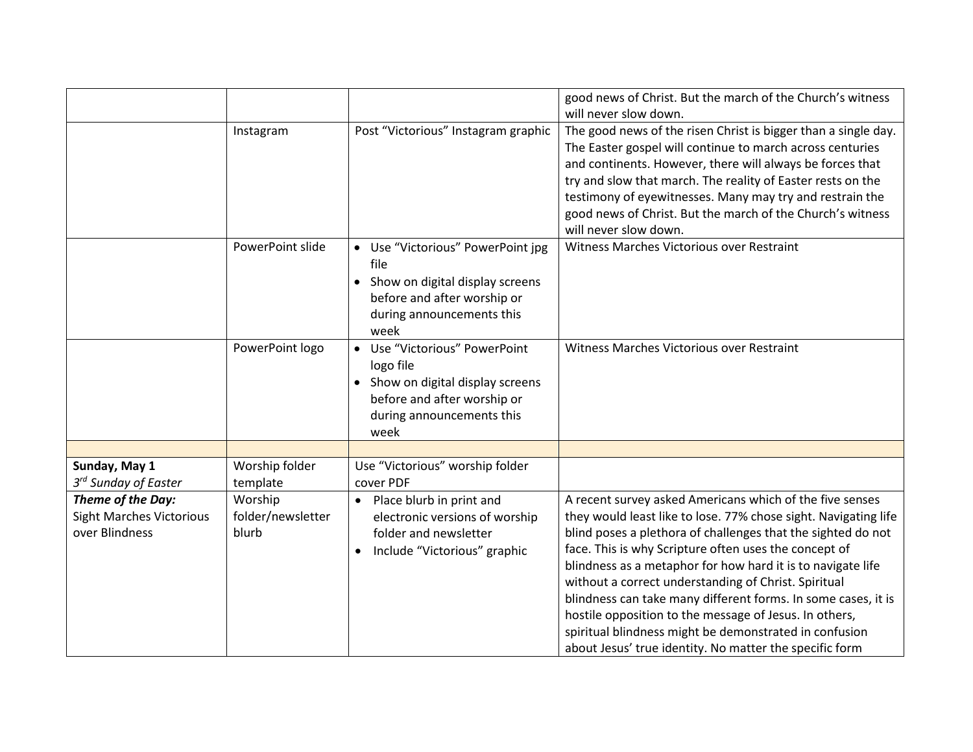|                                                                        |                                       |                                                                                                                                                     | good news of Christ. But the march of the Church's witness<br>will never slow down.                                                                                                                                                                                                                                                                                                                                                                                                                                                                                                                                         |
|------------------------------------------------------------------------|---------------------------------------|-----------------------------------------------------------------------------------------------------------------------------------------------------|-----------------------------------------------------------------------------------------------------------------------------------------------------------------------------------------------------------------------------------------------------------------------------------------------------------------------------------------------------------------------------------------------------------------------------------------------------------------------------------------------------------------------------------------------------------------------------------------------------------------------------|
|                                                                        | Instagram                             | Post "Victorious" Instagram graphic                                                                                                                 | The good news of the risen Christ is bigger than a single day.<br>The Easter gospel will continue to march across centuries<br>and continents. However, there will always be forces that<br>try and slow that march. The reality of Easter rests on the<br>testimony of eyewitnesses. Many may try and restrain the<br>good news of Christ. But the march of the Church's witness<br>will never slow down.                                                                                                                                                                                                                  |
|                                                                        | PowerPoint slide                      | • Use "Victorious" PowerPoint jpg<br>file<br>• Show on digital display screens<br>before and after worship or<br>during announcements this<br>week  | Witness Marches Victorious over Restraint                                                                                                                                                                                                                                                                                                                                                                                                                                                                                                                                                                                   |
|                                                                        | PowerPoint logo                       | • Use "Victorious" PowerPoint<br>logo file<br>• Show on digital display screens<br>before and after worship or<br>during announcements this<br>week | Witness Marches Victorious over Restraint                                                                                                                                                                                                                                                                                                                                                                                                                                                                                                                                                                                   |
|                                                                        |                                       |                                                                                                                                                     |                                                                                                                                                                                                                                                                                                                                                                                                                                                                                                                                                                                                                             |
| Sunday, May 1<br>3 <sup>rd</sup> Sunday of Easter                      | Worship folder<br>template            | Use "Victorious" worship folder<br>cover PDF                                                                                                        |                                                                                                                                                                                                                                                                                                                                                                                                                                                                                                                                                                                                                             |
| Theme of the Day:<br><b>Sight Marches Victorious</b><br>over Blindness | Worship<br>folder/newsletter<br>blurb | Place blurb in print and<br>$\bullet$<br>electronic versions of worship<br>folder and newsletter<br>Include "Victorious" graphic                    | A recent survey asked Americans which of the five senses<br>they would least like to lose. 77% chose sight. Navigating life<br>blind poses a plethora of challenges that the sighted do not<br>face. This is why Scripture often uses the concept of<br>blindness as a metaphor for how hard it is to navigate life<br>without a correct understanding of Christ. Spiritual<br>blindness can take many different forms. In some cases, it is<br>hostile opposition to the message of Jesus. In others,<br>spiritual blindness might be demonstrated in confusion<br>about Jesus' true identity. No matter the specific form |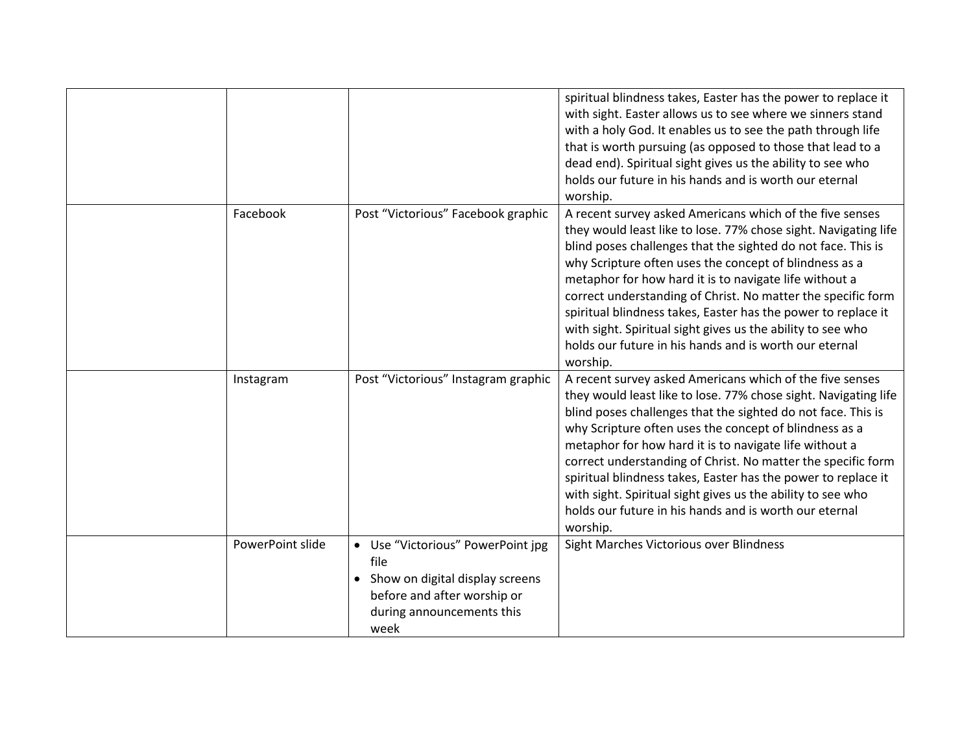|           |                                                                                                                                                                        | worship.                                        | spiritual blindness takes, Easter has the power to replace it<br>with sight. Easter allows us to see where we sinners stand<br>with a holy God. It enables us to see the path through life<br>that is worth pursuing (as opposed to those that lead to a<br>dead end). Spiritual sight gives us the ability to see who<br>holds our future in his hands and is worth our eternal                                                                                                                                                                                          |
|-----------|------------------------------------------------------------------------------------------------------------------------------------------------------------------------|-------------------------------------------------|---------------------------------------------------------------------------------------------------------------------------------------------------------------------------------------------------------------------------------------------------------------------------------------------------------------------------------------------------------------------------------------------------------------------------------------------------------------------------------------------------------------------------------------------------------------------------|
| Facebook  | Post "Victorious" Facebook graphic                                                                                                                                     | worship.                                        | A recent survey asked Americans which of the five senses<br>they would least like to lose. 77% chose sight. Navigating life<br>blind poses challenges that the sighted do not face. This is<br>why Scripture often uses the concept of blindness as a<br>metaphor for how hard it is to navigate life without a<br>correct understanding of Christ. No matter the specific form<br>spiritual blindness takes, Easter has the power to replace it<br>with sight. Spiritual sight gives us the ability to see who<br>holds our future in his hands and is worth our eternal |
| Instagram |                                                                                                                                                                        | Post "Victorious" Instagram graphic<br>worship. | A recent survey asked Americans which of the five senses<br>they would least like to lose. 77% chose sight. Navigating life<br>blind poses challenges that the sighted do not face. This is<br>why Scripture often uses the concept of blindness as a<br>metaphor for how hard it is to navigate life without a<br>correct understanding of Christ. No matter the specific form<br>spiritual blindness takes, Easter has the power to replace it<br>with sight. Spiritual sight gives us the ability to see who<br>holds our future in his hands and is worth our eternal |
|           | PowerPoint slide<br>• Use "Victorious" PowerPoint jpg<br>file<br>• Show on digital display screens<br>before and after worship or<br>during announcements this<br>week |                                                 | Sight Marches Victorious over Blindness                                                                                                                                                                                                                                                                                                                                                                                                                                                                                                                                   |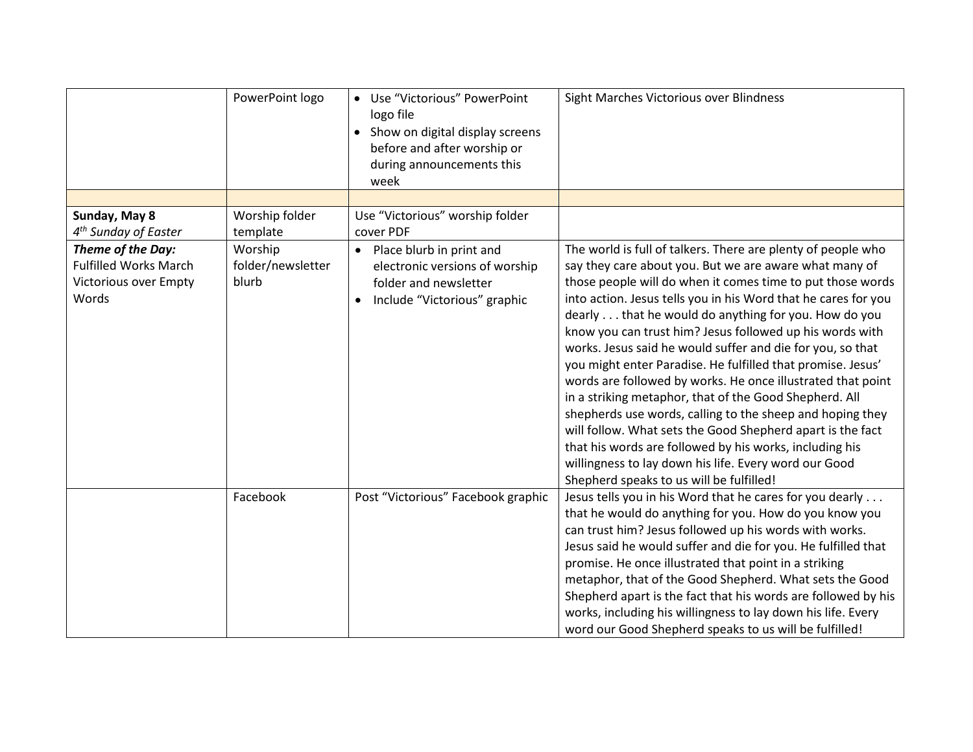|                                                                                     | PowerPoint logo                       | • Use "Victorious" PowerPoint<br>logo file<br>• Show on digital display screens<br>before and after worship or<br>during announcements this<br>week | Sight Marches Victorious over Blindness                                                                                                                                                                                                                                                                                                                                                                                                                                                                                                                                                                                                                                                                                                                                                                                                                                                                                     |
|-------------------------------------------------------------------------------------|---------------------------------------|-----------------------------------------------------------------------------------------------------------------------------------------------------|-----------------------------------------------------------------------------------------------------------------------------------------------------------------------------------------------------------------------------------------------------------------------------------------------------------------------------------------------------------------------------------------------------------------------------------------------------------------------------------------------------------------------------------------------------------------------------------------------------------------------------------------------------------------------------------------------------------------------------------------------------------------------------------------------------------------------------------------------------------------------------------------------------------------------------|
|                                                                                     |                                       |                                                                                                                                                     |                                                                                                                                                                                                                                                                                                                                                                                                                                                                                                                                                                                                                                                                                                                                                                                                                                                                                                                             |
| Sunday, May 8<br>4 <sup>th</sup> Sunday of Easter                                   | Worship folder<br>template            | Use "Victorious" worship folder<br>cover PDF                                                                                                        |                                                                                                                                                                                                                                                                                                                                                                                                                                                                                                                                                                                                                                                                                                                                                                                                                                                                                                                             |
| Theme of the Day:<br><b>Fulfilled Works March</b><br>Victorious over Empty<br>Words | Worship<br>folder/newsletter<br>blurb | • Place blurb in print and<br>electronic versions of worship<br>folder and newsletter<br>Include "Victorious" graphic                               | The world is full of talkers. There are plenty of people who<br>say they care about you. But we are aware what many of<br>those people will do when it comes time to put those words<br>into action. Jesus tells you in his Word that he cares for you<br>dearly that he would do anything for you. How do you<br>know you can trust him? Jesus followed up his words with<br>works. Jesus said he would suffer and die for you, so that<br>you might enter Paradise. He fulfilled that promise. Jesus'<br>words are followed by works. He once illustrated that point<br>in a striking metaphor, that of the Good Shepherd. All<br>shepherds use words, calling to the sheep and hoping they<br>will follow. What sets the Good Shepherd apart is the fact<br>that his words are followed by his works, including his<br>willingness to lay down his life. Every word our Good<br>Shepherd speaks to us will be fulfilled! |
|                                                                                     | Facebook                              | Post "Victorious" Facebook graphic                                                                                                                  | Jesus tells you in his Word that he cares for you dearly<br>that he would do anything for you. How do you know you<br>can trust him? Jesus followed up his words with works.<br>Jesus said he would suffer and die for you. He fulfilled that<br>promise. He once illustrated that point in a striking<br>metaphor, that of the Good Shepherd. What sets the Good<br>Shepherd apart is the fact that his words are followed by his<br>works, including his willingness to lay down his life. Every<br>word our Good Shepherd speaks to us will be fulfilled!                                                                                                                                                                                                                                                                                                                                                                |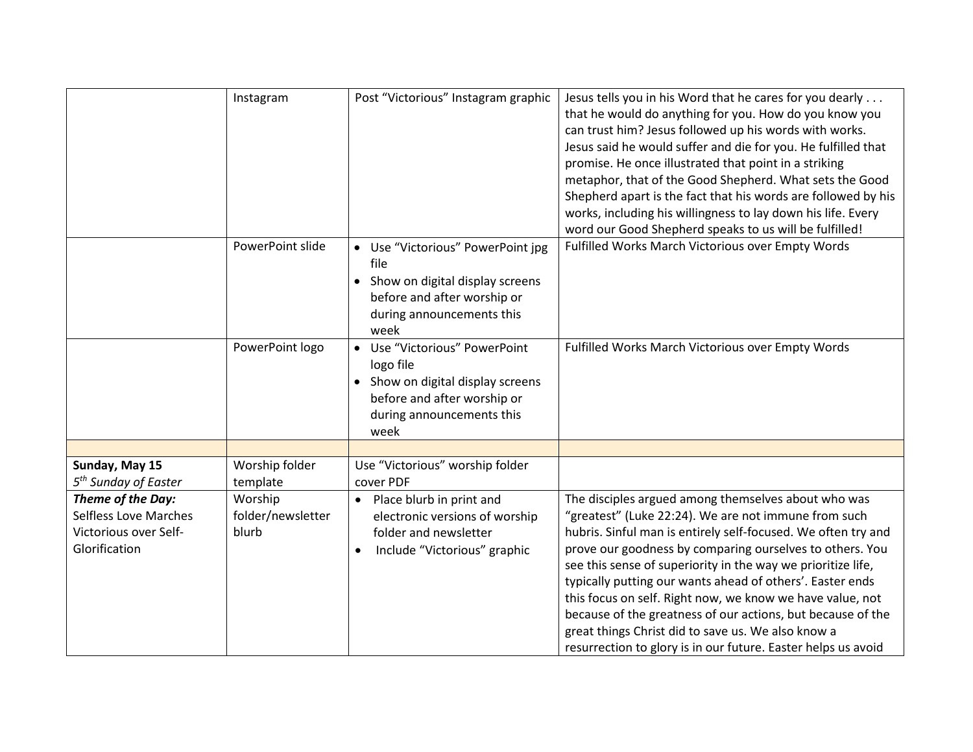|                                  | Instagram         | Post "Victorious" Instagram graphic | Jesus tells you in his Word that he cares for you dearly      |
|----------------------------------|-------------------|-------------------------------------|---------------------------------------------------------------|
|                                  |                   |                                     | that he would do anything for you. How do you know you        |
|                                  |                   |                                     | can trust him? Jesus followed up his words with works.        |
|                                  |                   |                                     | Jesus said he would suffer and die for you. He fulfilled that |
|                                  |                   |                                     | promise. He once illustrated that point in a striking         |
|                                  |                   |                                     | metaphor, that of the Good Shepherd. What sets the Good       |
|                                  |                   |                                     | Shepherd apart is the fact that his words are followed by his |
|                                  |                   |                                     | works, including his willingness to lay down his life. Every  |
|                                  |                   |                                     | word our Good Shepherd speaks to us will be fulfilled!        |
|                                  | PowerPoint slide  | • Use "Victorious" PowerPoint jpg   | Fulfilled Works March Victorious over Empty Words             |
|                                  |                   | file                                |                                                               |
|                                  |                   |                                     |                                                               |
|                                  |                   | • Show on digital display screens   |                                                               |
|                                  |                   | before and after worship or         |                                                               |
|                                  |                   | during announcements this           |                                                               |
|                                  |                   | week                                |                                                               |
|                                  | PowerPoint logo   | • Use "Victorious" PowerPoint       | Fulfilled Works March Victorious over Empty Words             |
|                                  |                   | logo file                           |                                                               |
|                                  |                   | • Show on digital display screens   |                                                               |
|                                  |                   | before and after worship or         |                                                               |
|                                  |                   | during announcements this           |                                                               |
|                                  |                   |                                     |                                                               |
|                                  |                   | week                                |                                                               |
|                                  |                   |                                     |                                                               |
| Sunday, May 15                   | Worship folder    | Use "Victorious" worship folder     |                                                               |
| 5 <sup>th</sup> Sunday of Easter | template          | cover PDF                           |                                                               |
| Theme of the Day:                | Worship           | • Place blurb in print and          | The disciples argued among themselves about who was           |
| Selfless Love Marches            | folder/newsletter | electronic versions of worship      | "greatest" (Luke 22:24). We are not immune from such          |
| Victorious over Self-            | blurb             | folder and newsletter               | hubris. Sinful man is entirely self-focused. We often try and |
| Glorification                    |                   | Include "Victorious" graphic        | prove our goodness by comparing ourselves to others. You      |
|                                  |                   |                                     | see this sense of superiority in the way we prioritize life,  |
|                                  |                   |                                     | typically putting our wants ahead of others'. Easter ends     |
|                                  |                   |                                     | this focus on self. Right now, we know we have value, not     |
|                                  |                   |                                     | because of the greatness of our actions, but because of the   |
|                                  |                   |                                     |                                                               |
|                                  |                   |                                     | great things Christ did to save us. We also know a            |
|                                  |                   |                                     | resurrection to glory is in our future. Easter helps us avoid |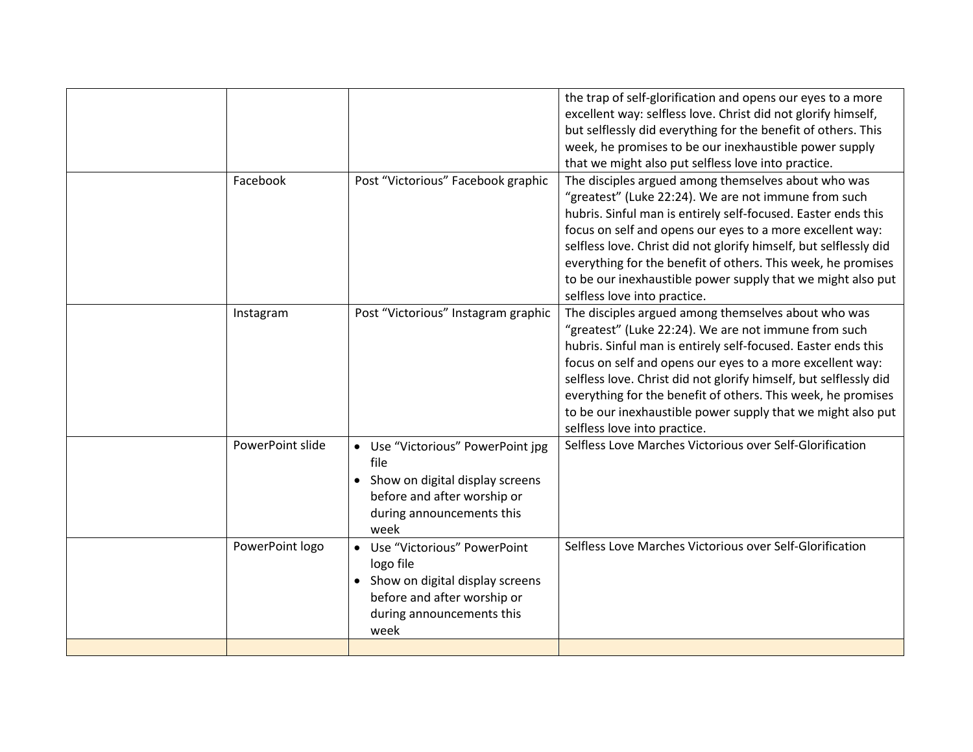|                  |                                                                                                                                                     | the trap of self-glorification and opens our eyes to a more<br>excellent way: selfless love. Christ did not glorify himself,<br>but selflessly did everything for the benefit of others. This                                                                                                                                                                                                                                                                                 |
|------------------|-----------------------------------------------------------------------------------------------------------------------------------------------------|-------------------------------------------------------------------------------------------------------------------------------------------------------------------------------------------------------------------------------------------------------------------------------------------------------------------------------------------------------------------------------------------------------------------------------------------------------------------------------|
|                  |                                                                                                                                                     | week, he promises to be our inexhaustible power supply<br>that we might also put selfless love into practice.                                                                                                                                                                                                                                                                                                                                                                 |
| Facebook         | Post "Victorious" Facebook graphic                                                                                                                  | The disciples argued among themselves about who was<br>"greatest" (Luke 22:24). We are not immune from such<br>hubris. Sinful man is entirely self-focused. Easter ends this<br>focus on self and opens our eyes to a more excellent way:<br>selfless love. Christ did not glorify himself, but selflessly did<br>everything for the benefit of others. This week, he promises<br>to be our inexhaustible power supply that we might also put<br>selfless love into practice. |
| Instagram        | Post "Victorious" Instagram graphic                                                                                                                 | The disciples argued among themselves about who was<br>"greatest" (Luke 22:24). We are not immune from such<br>hubris. Sinful man is entirely self-focused. Easter ends this<br>focus on self and opens our eyes to a more excellent way:<br>selfless love. Christ did not glorify himself, but selflessly did<br>everything for the benefit of others. This week, he promises<br>to be our inexhaustible power supply that we might also put<br>selfless love into practice. |
| PowerPoint slide | • Use "Victorious" PowerPoint jpg<br>file<br>• Show on digital display screens<br>before and after worship or<br>during announcements this<br>week  | Selfless Love Marches Victorious over Self-Glorification                                                                                                                                                                                                                                                                                                                                                                                                                      |
| PowerPoint logo  | • Use "Victorious" PowerPoint<br>logo file<br>• Show on digital display screens<br>before and after worship or<br>during announcements this<br>week | Selfless Love Marches Victorious over Self-Glorification                                                                                                                                                                                                                                                                                                                                                                                                                      |
|                  |                                                                                                                                                     |                                                                                                                                                                                                                                                                                                                                                                                                                                                                               |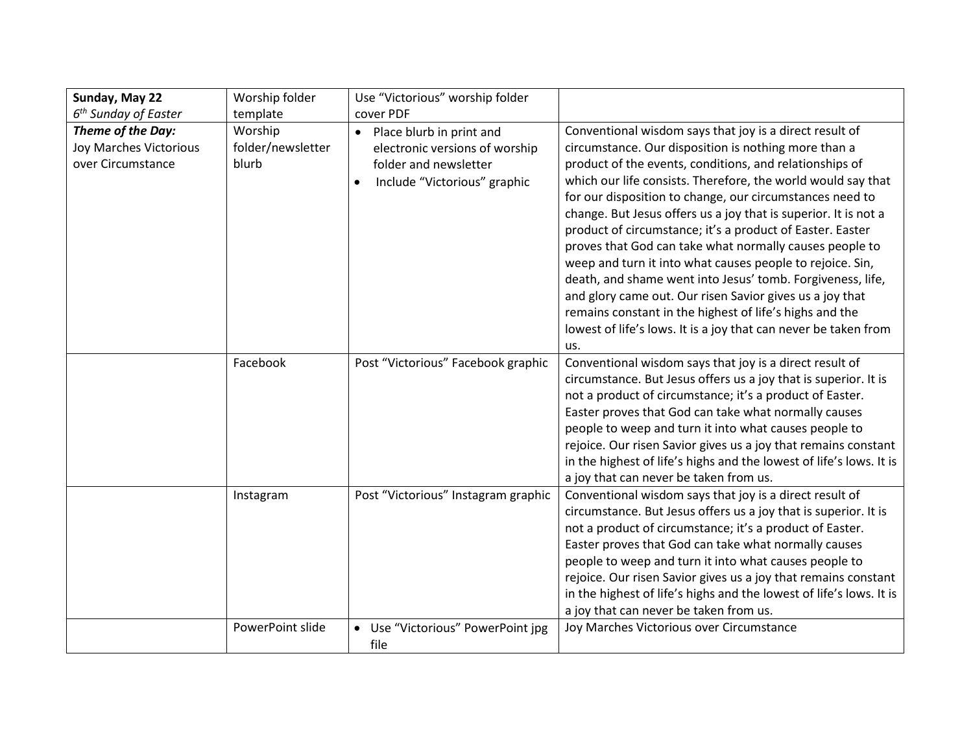| Sunday, May 22                                                   | Worship folder                        | Use "Victorious" worship folder                                                                                                    |                                                                                                                                                                                                                                                                                                                                                                                                                                                                                                                                                                                                                                                                                                                                                                                                                               |
|------------------------------------------------------------------|---------------------------------------|------------------------------------------------------------------------------------------------------------------------------------|-------------------------------------------------------------------------------------------------------------------------------------------------------------------------------------------------------------------------------------------------------------------------------------------------------------------------------------------------------------------------------------------------------------------------------------------------------------------------------------------------------------------------------------------------------------------------------------------------------------------------------------------------------------------------------------------------------------------------------------------------------------------------------------------------------------------------------|
| $6th$ Sunday of Easter                                           | template                              | cover PDF                                                                                                                          |                                                                                                                                                                                                                                                                                                                                                                                                                                                                                                                                                                                                                                                                                                                                                                                                                               |
| Theme of the Day:<br>Joy Marches Victorious<br>over Circumstance | Worship<br>folder/newsletter<br>blurb | • Place blurb in print and<br>electronic versions of worship<br>folder and newsletter<br>Include "Victorious" graphic<br>$\bullet$ | Conventional wisdom says that joy is a direct result of<br>circumstance. Our disposition is nothing more than a<br>product of the events, conditions, and relationships of<br>which our life consists. Therefore, the world would say that<br>for our disposition to change, our circumstances need to<br>change. But Jesus offers us a joy that is superior. It is not a<br>product of circumstance; it's a product of Easter. Easter<br>proves that God can take what normally causes people to<br>weep and turn it into what causes people to rejoice. Sin,<br>death, and shame went into Jesus' tomb. Forgiveness, life,<br>and glory came out. Our risen Savior gives us a joy that<br>remains constant in the highest of life's highs and the<br>lowest of life's lows. It is a joy that can never be taken from<br>us. |
|                                                                  | Facebook                              | Post "Victorious" Facebook graphic                                                                                                 | Conventional wisdom says that joy is a direct result of<br>circumstance. But Jesus offers us a joy that is superior. It is<br>not a product of circumstance; it's a product of Easter.<br>Easter proves that God can take what normally causes<br>people to weep and turn it into what causes people to<br>rejoice. Our risen Savior gives us a joy that remains constant<br>in the highest of life's highs and the lowest of life's lows. It is<br>a joy that can never be taken from us.                                                                                                                                                                                                                                                                                                                                    |
|                                                                  | Instagram                             | Post "Victorious" Instagram graphic                                                                                                | Conventional wisdom says that joy is a direct result of<br>circumstance. But Jesus offers us a joy that is superior. It is<br>not a product of circumstance; it's a product of Easter.<br>Easter proves that God can take what normally causes<br>people to weep and turn it into what causes people to<br>rejoice. Our risen Savior gives us a joy that remains constant<br>in the highest of life's highs and the lowest of life's lows. It is<br>a joy that can never be taken from us.                                                                                                                                                                                                                                                                                                                                    |
|                                                                  | PowerPoint slide                      | • Use "Victorious" PowerPoint jpg<br>file                                                                                          | Joy Marches Victorious over Circumstance                                                                                                                                                                                                                                                                                                                                                                                                                                                                                                                                                                                                                                                                                                                                                                                      |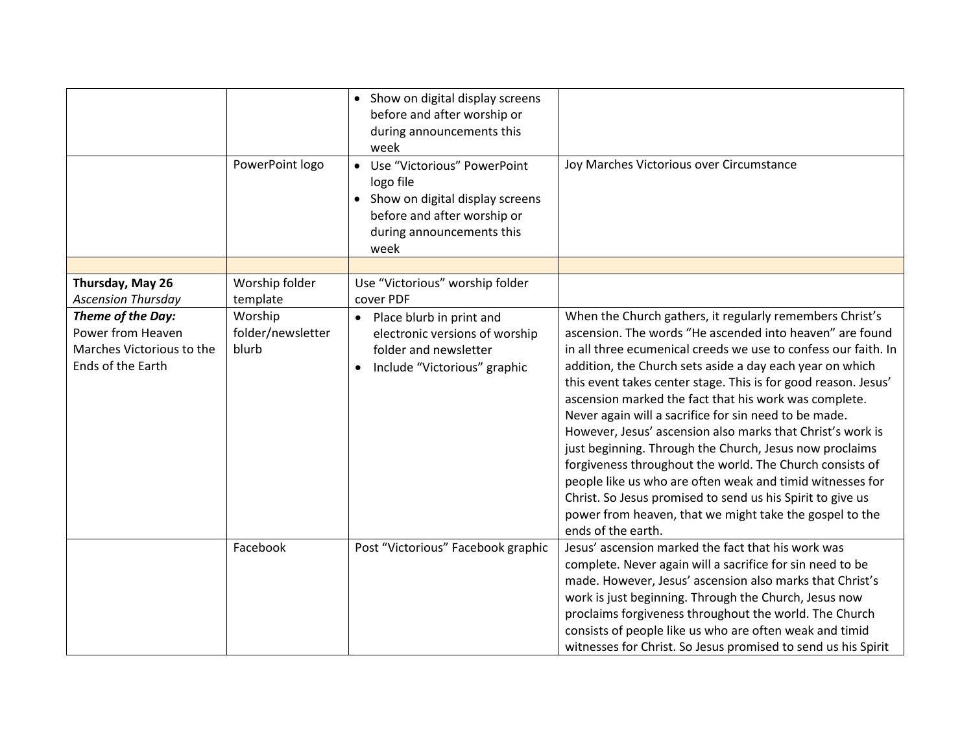|                                                                                          | PowerPoint logo                       | • Show on digital display screens<br>before and after worship or<br>during announcements this<br>week<br>• Use "Victorious" PowerPoint<br>logo file<br>• Show on digital display screens<br>before and after worship or<br>during announcements this<br>week | Joy Marches Victorious over Circumstance                                                                                                                                                                                                                                                                                                                                                                                                                                                                                                                                                                                                                                                                                                                                                                                                |
|------------------------------------------------------------------------------------------|---------------------------------------|--------------------------------------------------------------------------------------------------------------------------------------------------------------------------------------------------------------------------------------------------------------|-----------------------------------------------------------------------------------------------------------------------------------------------------------------------------------------------------------------------------------------------------------------------------------------------------------------------------------------------------------------------------------------------------------------------------------------------------------------------------------------------------------------------------------------------------------------------------------------------------------------------------------------------------------------------------------------------------------------------------------------------------------------------------------------------------------------------------------------|
|                                                                                          |                                       |                                                                                                                                                                                                                                                              |                                                                                                                                                                                                                                                                                                                                                                                                                                                                                                                                                                                                                                                                                                                                                                                                                                         |
| Thursday, May 26<br><b>Ascension Thursday</b>                                            | Worship folder<br>template            | Use "Victorious" worship folder<br>cover PDF                                                                                                                                                                                                                 |                                                                                                                                                                                                                                                                                                                                                                                                                                                                                                                                                                                                                                                                                                                                                                                                                                         |
| Theme of the Day:<br>Power from Heaven<br>Marches Victorious to the<br>Ends of the Earth | Worship<br>folder/newsletter<br>blurb | • Place blurb in print and<br>electronic versions of worship<br>folder and newsletter<br>Include "Victorious" graphic                                                                                                                                        | When the Church gathers, it regularly remembers Christ's<br>ascension. The words "He ascended into heaven" are found<br>in all three ecumenical creeds we use to confess our faith. In<br>addition, the Church sets aside a day each year on which<br>this event takes center stage. This is for good reason. Jesus'<br>ascension marked the fact that his work was complete.<br>Never again will a sacrifice for sin need to be made.<br>However, Jesus' ascension also marks that Christ's work is<br>just beginning. Through the Church, Jesus now proclaims<br>forgiveness throughout the world. The Church consists of<br>people like us who are often weak and timid witnesses for<br>Christ. So Jesus promised to send us his Spirit to give us<br>power from heaven, that we might take the gospel to the<br>ends of the earth. |
|                                                                                          | Facebook                              | Post "Victorious" Facebook graphic                                                                                                                                                                                                                           | Jesus' ascension marked the fact that his work was<br>complete. Never again will a sacrifice for sin need to be<br>made. However, Jesus' ascension also marks that Christ's<br>work is just beginning. Through the Church, Jesus now<br>proclaims forgiveness throughout the world. The Church<br>consists of people like us who are often weak and timid<br>witnesses for Christ. So Jesus promised to send us his Spirit                                                                                                                                                                                                                                                                                                                                                                                                              |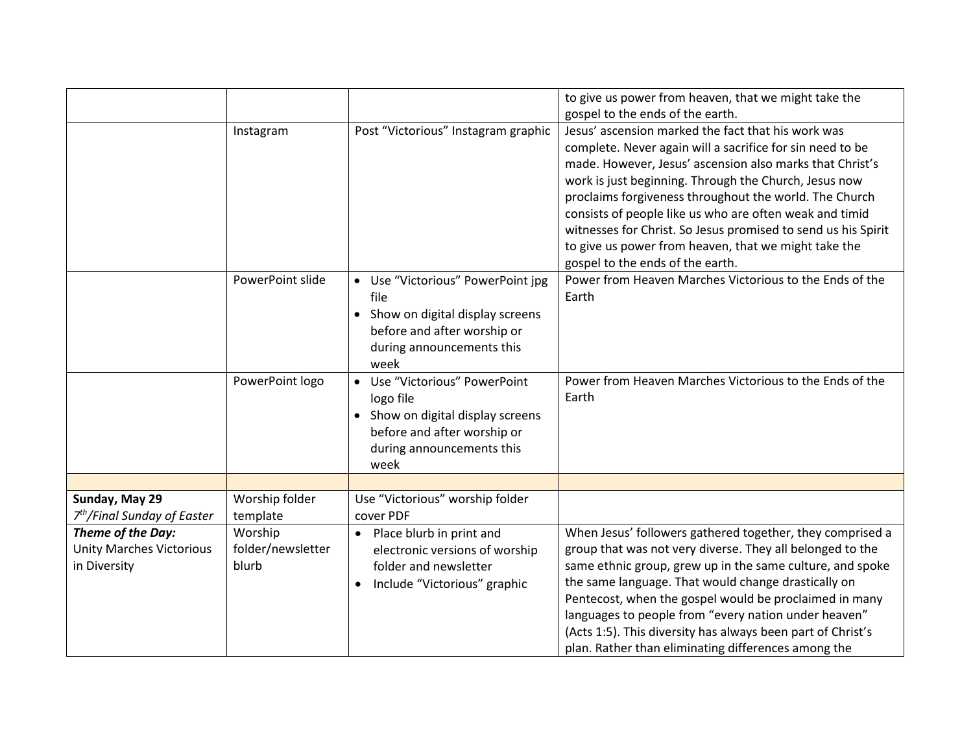|                                                                      |                                       |                                                                                                                                                     | to give us power from heaven, that we might take the                                                                                                                                                                                                                                                                                                                                                                                                                                                                   |
|----------------------------------------------------------------------|---------------------------------------|-----------------------------------------------------------------------------------------------------------------------------------------------------|------------------------------------------------------------------------------------------------------------------------------------------------------------------------------------------------------------------------------------------------------------------------------------------------------------------------------------------------------------------------------------------------------------------------------------------------------------------------------------------------------------------------|
|                                                                      |                                       |                                                                                                                                                     | gospel to the ends of the earth.                                                                                                                                                                                                                                                                                                                                                                                                                                                                                       |
|                                                                      | Instagram                             | Post "Victorious" Instagram graphic                                                                                                                 | Jesus' ascension marked the fact that his work was<br>complete. Never again will a sacrifice for sin need to be<br>made. However, Jesus' ascension also marks that Christ's<br>work is just beginning. Through the Church, Jesus now<br>proclaims forgiveness throughout the world. The Church<br>consists of people like us who are often weak and timid<br>witnesses for Christ. So Jesus promised to send us his Spirit<br>to give us power from heaven, that we might take the<br>gospel to the ends of the earth. |
|                                                                      | PowerPoint slide                      | • Use "Victorious" PowerPoint jpg<br>file<br>• Show on digital display screens<br>before and after worship or<br>during announcements this<br>week  | Power from Heaven Marches Victorious to the Ends of the<br>Earth                                                                                                                                                                                                                                                                                                                                                                                                                                                       |
|                                                                      | PowerPoint logo                       | • Use "Victorious" PowerPoint<br>logo file<br>• Show on digital display screens<br>before and after worship or<br>during announcements this<br>week | Power from Heaven Marches Victorious to the Ends of the<br>Earth                                                                                                                                                                                                                                                                                                                                                                                                                                                       |
|                                                                      |                                       |                                                                                                                                                     |                                                                                                                                                                                                                                                                                                                                                                                                                                                                                                                        |
| Sunday, May 29<br>7 <sup>th</sup> /Final Sunday of Easter            | Worship folder<br>template            | Use "Victorious" worship folder<br>cover PDF                                                                                                        |                                                                                                                                                                                                                                                                                                                                                                                                                                                                                                                        |
| Theme of the Day:<br><b>Unity Marches Victorious</b><br>in Diversity | Worship<br>folder/newsletter<br>blurb | • Place blurb in print and<br>electronic versions of worship<br>folder and newsletter<br>Include "Victorious" graphic<br>$\bullet$                  | When Jesus' followers gathered together, they comprised a<br>group that was not very diverse. They all belonged to the<br>same ethnic group, grew up in the same culture, and spoke<br>the same language. That would change drastically on<br>Pentecost, when the gospel would be proclaimed in many<br>languages to people from "every nation under heaven"<br>(Acts 1:5). This diversity has always been part of Christ's<br>plan. Rather than eliminating differences among the                                     |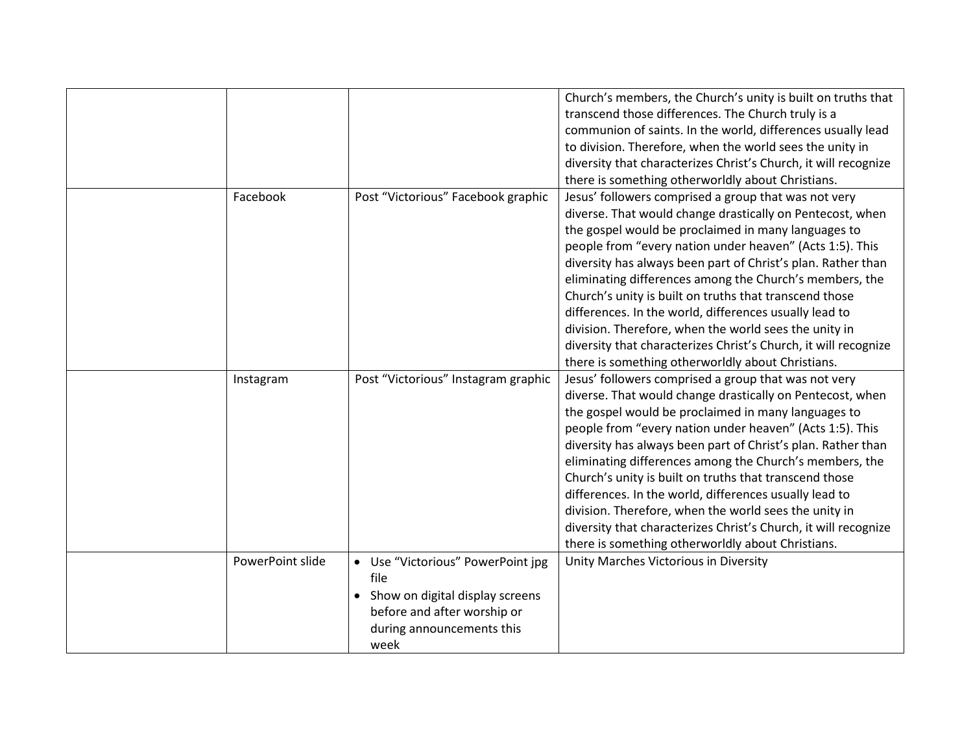|                  |                                     | Church's members, the Church's unity is built on truths that    |
|------------------|-------------------------------------|-----------------------------------------------------------------|
|                  |                                     | transcend those differences. The Church truly is a              |
|                  |                                     | communion of saints. In the world, differences usually lead     |
|                  |                                     | to division. Therefore, when the world sees the unity in        |
|                  |                                     | diversity that characterizes Christ's Church, it will recognize |
|                  |                                     | there is something otherworldly about Christians.               |
| Facebook         | Post "Victorious" Facebook graphic  | Jesus' followers comprised a group that was not very            |
|                  |                                     | diverse. That would change drastically on Pentecost, when       |
|                  |                                     | the gospel would be proclaimed in many languages to             |
|                  |                                     | people from "every nation under heaven" (Acts 1:5). This        |
|                  |                                     | diversity has always been part of Christ's plan. Rather than    |
|                  |                                     | eliminating differences among the Church's members, the         |
|                  |                                     | Church's unity is built on truths that transcend those          |
|                  |                                     | differences. In the world, differences usually lead to          |
|                  |                                     | division. Therefore, when the world sees the unity in           |
|                  |                                     | diversity that characterizes Christ's Church, it will recognize |
|                  |                                     | there is something otherworldly about Christians.               |
| Instagram        | Post "Victorious" Instagram graphic | Jesus' followers comprised a group that was not very            |
|                  |                                     | diverse. That would change drastically on Pentecost, when       |
|                  |                                     | the gospel would be proclaimed in many languages to             |
|                  |                                     | people from "every nation under heaven" (Acts 1:5). This        |
|                  |                                     | diversity has always been part of Christ's plan. Rather than    |
|                  |                                     | eliminating differences among the Church's members, the         |
|                  |                                     | Church's unity is built on truths that transcend those          |
|                  |                                     | differences. In the world, differences usually lead to          |
|                  |                                     | division. Therefore, when the world sees the unity in           |
|                  |                                     | diversity that characterizes Christ's Church, it will recognize |
|                  |                                     | there is something otherworldly about Christians.               |
| PowerPoint slide | • Use "Victorious" PowerPoint jpg   | Unity Marches Victorious in Diversity                           |
|                  | file                                |                                                                 |
|                  | • Show on digital display screens   |                                                                 |
|                  | before and after worship or         |                                                                 |
|                  | during announcements this           |                                                                 |
|                  | week                                |                                                                 |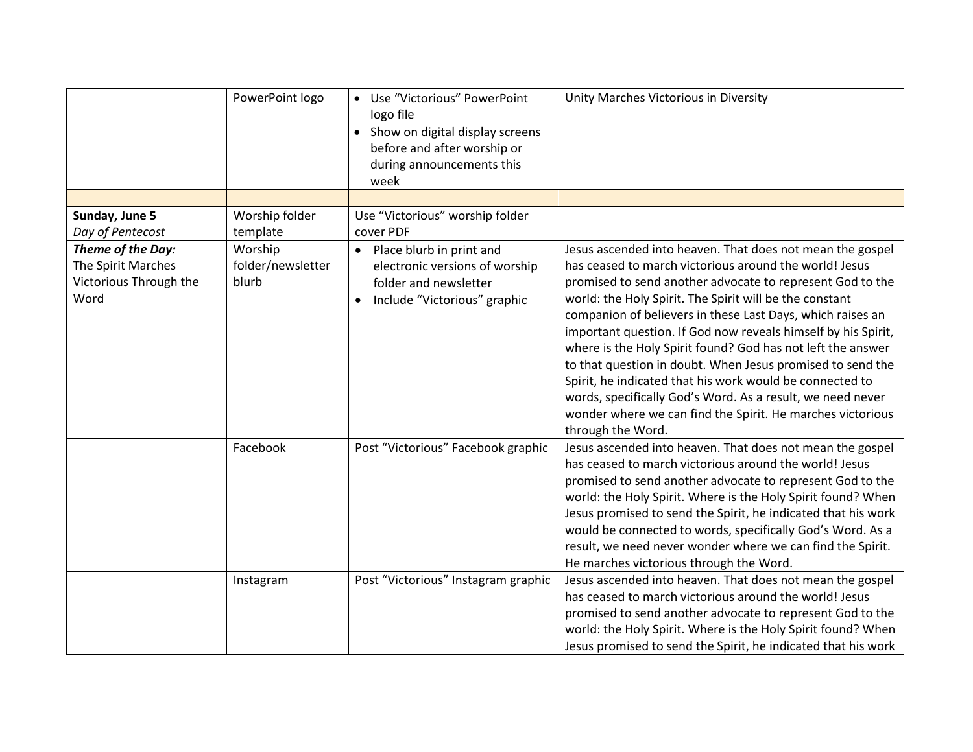|                        | PowerPoint logo   | • Use "Victorious" PowerPoint<br>logo file<br>• Show on digital display screens<br>before and after worship or<br>during announcements this<br>week | Unity Marches Victorious in Diversity                         |
|------------------------|-------------------|-----------------------------------------------------------------------------------------------------------------------------------------------------|---------------------------------------------------------------|
|                        |                   |                                                                                                                                                     |                                                               |
| Sunday, June 5         | Worship folder    | Use "Victorious" worship folder                                                                                                                     |                                                               |
| Day of Pentecost       | template          | cover PDF                                                                                                                                           |                                                               |
| Theme of the Day:      | Worship           | • Place blurb in print and                                                                                                                          | Jesus ascended into heaven. That does not mean the gospel     |
| The Spirit Marches     | folder/newsletter | electronic versions of worship                                                                                                                      | has ceased to march victorious around the world! Jesus        |
| Victorious Through the | blurb             | folder and newsletter                                                                                                                               | promised to send another advocate to represent God to the     |
| Word                   |                   | Include "Victorious" graphic                                                                                                                        | world: the Holy Spirit. The Spirit will be the constant       |
|                        |                   |                                                                                                                                                     | companion of believers in these Last Days, which raises an    |
|                        |                   |                                                                                                                                                     | important question. If God now reveals himself by his Spirit, |
|                        |                   |                                                                                                                                                     | where is the Holy Spirit found? God has not left the answer   |
|                        |                   |                                                                                                                                                     | to that question in doubt. When Jesus promised to send the    |
|                        |                   |                                                                                                                                                     | Spirit, he indicated that his work would be connected to      |
|                        |                   |                                                                                                                                                     | words, specifically God's Word. As a result, we need never    |
|                        |                   |                                                                                                                                                     | wonder where we can find the Spirit. He marches victorious    |
|                        |                   |                                                                                                                                                     | through the Word.                                             |
|                        | Facebook          | Post "Victorious" Facebook graphic                                                                                                                  | Jesus ascended into heaven. That does not mean the gospel     |
|                        |                   |                                                                                                                                                     | has ceased to march victorious around the world! Jesus        |
|                        |                   |                                                                                                                                                     | promised to send another advocate to represent God to the     |
|                        |                   |                                                                                                                                                     | world: the Holy Spirit. Where is the Holy Spirit found? When  |
|                        |                   |                                                                                                                                                     | Jesus promised to send the Spirit, he indicated that his work |
|                        |                   |                                                                                                                                                     | would be connected to words, specifically God's Word. As a    |
|                        |                   |                                                                                                                                                     | result, we need never wonder where we can find the Spirit.    |
|                        |                   |                                                                                                                                                     | He marches victorious through the Word.                       |
|                        | Instagram         | Post "Victorious" Instagram graphic                                                                                                                 | Jesus ascended into heaven. That does not mean the gospel     |
|                        |                   |                                                                                                                                                     | has ceased to march victorious around the world! Jesus        |
|                        |                   |                                                                                                                                                     | promised to send another advocate to represent God to the     |
|                        |                   |                                                                                                                                                     | world: the Holy Spirit. Where is the Holy Spirit found? When  |
|                        |                   |                                                                                                                                                     | Jesus promised to send the Spirit, he indicated that his work |